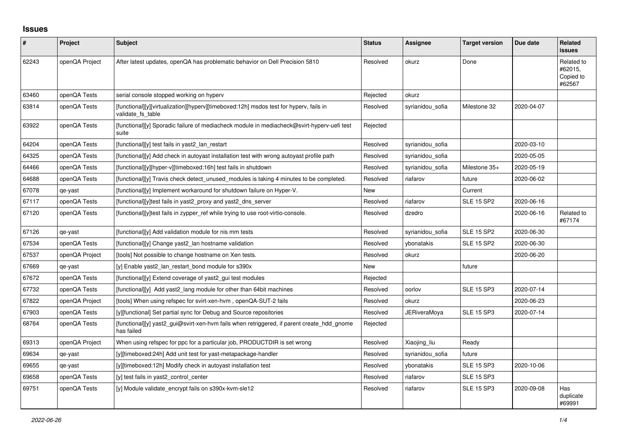## **Issues**

| #     | Project        | Subject                                                                                                     | <b>Status</b> | Assignee         | <b>Target version</b> | Due date   | <b>Related</b><br><b>issues</b>              |
|-------|----------------|-------------------------------------------------------------------------------------------------------------|---------------|------------------|-----------------------|------------|----------------------------------------------|
| 62243 | openQA Project | After latest updates, openQA has problematic behavior on Dell Precision 5810                                | Resolved      | okurz            | Done                  |            | Related to<br>#62015,<br>Copied to<br>#62567 |
| 63460 | openQA Tests   | serial console stopped working on hyperv                                                                    | Rejected      | okurz            |                       |            |                                              |
| 63814 | openQA Tests   | [functional][y][virtualization][hyperv][timeboxed:12h] msdos test for hyperv, fails in<br>validate fs table | Resolved      | syrianidou_sofia | Milestone 32          | 2020-04-07 |                                              |
| 63922 | openQA Tests   | [functional][y] Sporadic failure of mediacheck module in mediacheck@svirt-hyperv-uefi test<br>suite         | Rejected      |                  |                       |            |                                              |
| 64204 | openQA Tests   | [functional][y] test fails in yast2 lan restart                                                             | Resolved      | syrianidou sofia |                       | 2020-03-10 |                                              |
| 64325 | openQA Tests   | [functional][y] Add check in autoyast installation test with wrong autoyast profile path                    | Resolved      | syrianidou sofia |                       | 2020-05-05 |                                              |
| 64466 | openQA Tests   | [functional][y][hyper-v][timeboxed:16h] test fails in shutdown                                              | Resolved      | syrianidou_sofia | Milestone 35+         | 2020-05-19 |                                              |
| 64688 | openQA Tests   | $[functional]$ Travis check detect unused modules is taking 4 minutes to be completed.                      | Resolved      | riafarov         | future                | 2020-06-02 |                                              |
| 67078 | qe-yast        | [functional][y] Implement workaround for shutdown failure on Hyper-V.                                       | New           |                  | Current               |            |                                              |
| 67117 | openQA Tests   | [functional][y]test fails in yast2 proxy and yast2 dns server                                               | Resolved      | riafarov         | <b>SLE 15 SP2</b>     | 2020-06-16 |                                              |
| 67120 | openQA Tests   | [functional][y]test fails in zypper_ref while trying to use root-virtio-console.                            | Resolved      | dzedro           |                       | 2020-06-16 | Related to<br>#67174                         |
| 67126 | qe-yast        | [functional][y] Add validation module for nis mm tests                                                      | Resolved      | syrianidou sofia | <b>SLE 15 SP2</b>     | 2020-06-30 |                                              |
| 67534 | openQA Tests   | [functional][y] Change yast2_lan hostname validation                                                        | Resolved      | ybonatakis       | <b>SLE 15 SP2</b>     | 2020-06-30 |                                              |
| 67537 | openQA Project | [tools] Not possible to change hostname on Xen tests.                                                       | Resolved      | okurz            |                       | 2020-06-20 |                                              |
| 67669 | qe-yast        | [y] Enable yast2 lan restart bond module for s390x                                                          | New           |                  | future                |            |                                              |
| 67672 | openQA Tests   | [functional][y] Extend coverage of yast2_gui test modules                                                   | Rejected      |                  |                       |            |                                              |
| 67732 | openQA Tests   | [functional][y] Add yast2 lang module for other than 64bit machines                                         | Resolved      | oorlov           | <b>SLE 15 SP3</b>     | 2020-07-14 |                                              |
| 67822 | openQA Project | [tools] When using refspec for svirt-xen-hvm, openQA-SUT-2 fails                                            | Resolved      | okurz            |                       | 2020-06-23 |                                              |
| 67903 | openQA Tests   | [y][functional] Set partial sync for Debug and Source repositories                                          | Resolved      | JERiveraMoya     | <b>SLE 15 SP3</b>     | 2020-07-14 |                                              |
| 68764 | openQA Tests   | [functional][y] yast2_gui@svirt-xen-hvm fails when retriggered, if parent create_hdd_gnome<br>has failed    | Rejected      |                  |                       |            |                                              |
| 69313 | openQA Project | When using refspec for ppc for a particular job, PRODUCTDIR is set wrong                                    | Resolved      | Xiaojing liu     | Ready                 |            |                                              |
| 69634 | qe-yast        | [y][timeboxed:24h] Add unit test for yast-metapackage-handler                                               | Resolved      | syrianidou sofia | future                |            |                                              |
| 69655 | qe-yast        | [y][timeboxed:12h] Modify check in autoyast installation test                                               | Resolved      | ybonatakis       | <b>SLE 15 SP3</b>     | 2020-10-06 |                                              |
| 69658 | openQA Tests   | [y] test fails in yast2 control center                                                                      | Resolved      | riafarov         | <b>SLE 15 SP3</b>     |            |                                              |
| 69751 | openQA Tests   | [y] Module validate encrypt fails on s390x-kvm-sle12                                                        | Resolved      | riafarov         | <b>SLE 15 SP3</b>     | 2020-09-08 | Has<br>duplicate<br>#69991                   |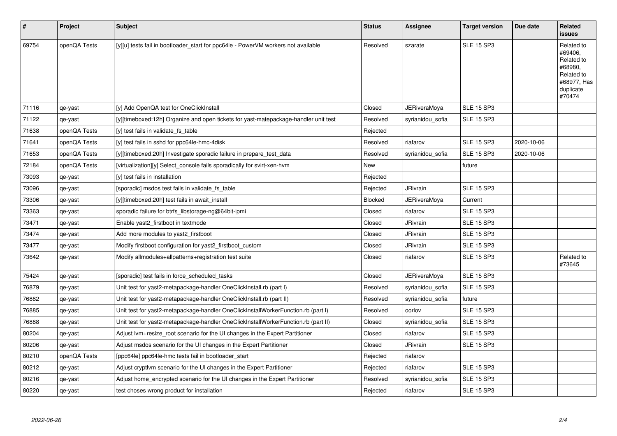| $\vert$ # | Project      | <b>Subject</b>                                                                      | <b>Status</b> | Assignee            | <b>Target version</b> | Due date   | Related<br>issues                                                                                  |
|-----------|--------------|-------------------------------------------------------------------------------------|---------------|---------------------|-----------------------|------------|----------------------------------------------------------------------------------------------------|
| 69754     | openQA Tests | [y][u] tests fail in bootloader start for ppc64le - PowerVM workers not available   | Resolved      | szarate             | <b>SLE 15 SP3</b>     |            | Related to<br>#69406,<br>Related to<br>#68980,<br>Related to<br>#68977, Has<br>duplicate<br>#70474 |
| 71116     | qe-yast      | [y] Add OpenQA test for OneClickInstall                                             | Closed        | <b>JERiveraMoya</b> | <b>SLE 15 SP3</b>     |            |                                                                                                    |
| 71122     | qe-yast      | [y][timeboxed:12h] Organize and open tickets for yast-matepackage-handler unit test | Resolved      | syrianidou_sofia    | <b>SLE 15 SP3</b>     |            |                                                                                                    |
| 71638     | openQA Tests | [y] test fails in validate fs_table                                                 | Rejected      |                     |                       |            |                                                                                                    |
| 71641     | openQA Tests | [y] test fails in sshd for ppc64le-hmc-4disk                                        | Resolved      | riafarov            | <b>SLE 15 SP3</b>     | 2020-10-06 |                                                                                                    |
| 71653     | openQA Tests | [y][timeboxed:20h] Investigate sporadic failure in prepare test data                | Resolved      | syrianidou sofia    | <b>SLE 15 SP3</b>     | 2020-10-06 |                                                                                                    |
| 72184     | openQA Tests | [virtualization][y] Select_console fails sporadically for svirt-xen-hvm             | <b>New</b>    |                     | future                |            |                                                                                                    |
| 73093     | qe-yast      | [y] test fails in installation                                                      | Rejected      |                     |                       |            |                                                                                                    |
| 73096     | qe-yast      | [sporadic] msdos test fails in validate fs table                                    | Rejected      | JRivrain            | <b>SLE 15 SP3</b>     |            |                                                                                                    |
| 73306     | qe-yast      | [y][timeboxed:20h] test fails in await install                                      | Blocked       | JERiveraMoya        | Current               |            |                                                                                                    |
| 73363     | qe-yast      | sporadic failure for btrfs_libstorage-ng@64bit-ipmi                                 | Closed        | riafarov            | <b>SLE 15 SP3</b>     |            |                                                                                                    |
| 73471     | qe-yast      | Enable yast2 firstboot in textmode                                                  | Closed        | <b>JRivrain</b>     | <b>SLE 15 SP3</b>     |            |                                                                                                    |
| 73474     | qe-yast      | Add more modules to yast2 firstboot                                                 | Closed        | JRivrain            | <b>SLE 15 SP3</b>     |            |                                                                                                    |
| 73477     | qe-yast      | Modify firstboot configuration for yast2_firstboot_custom                           | Closed        | <b>JRivrain</b>     | <b>SLE 15 SP3</b>     |            |                                                                                                    |
| 73642     | qe-yast      | Modify allmodules+allpatterns+registration test suite                               | Closed        | riafarov            | <b>SLE 15 SP3</b>     |            | Related to<br>#73645                                                                               |
| 75424     | qe-yast      | [sporadic] test fails in force scheduled tasks                                      | Closed        | JERiveraMoya        | <b>SLE 15 SP3</b>     |            |                                                                                                    |
| 76879     | qe-yast      | Unit test for yast2-metapackage-handler OneClickInstall.rb (part I)                 | Resolved      | syrianidou_sofia    | <b>SLE 15 SP3</b>     |            |                                                                                                    |
| 76882     | qe-yast      | Unit test for yast2-metapackage-handler OneClickInstall.rb (part II)                | Resolved      | syrianidou sofia    | future                |            |                                                                                                    |
| 76885     | qe-yast      | Unit test for yast2-metapackage-handler OneClickInstallWorkerFunction.rb (part I)   | Resolved      | oorlov              | <b>SLE 15 SP3</b>     |            |                                                                                                    |
| 76888     | qe-yast      | Unit test for yast2-metapackage-handler OneClickInstallWorkerFunction.rb (part II)  | Closed        | syrianidou sofia    | <b>SLE 15 SP3</b>     |            |                                                                                                    |
| 80204     | qe-yast      | Adjust lvm+resize_root scenario for the UI changes in the Expert Partitioner        | Closed        | riafarov            | <b>SLE 15 SP3</b>     |            |                                                                                                    |
| 80206     | qe-yast      | Adjust msdos scenario for the UI changes in the Expert Partitioner                  | Closed        | JRivrain            | <b>SLE 15 SP3</b>     |            |                                                                                                    |
| 80210     | openQA Tests | [ppc64le] ppc64le-hmc tests fail in bootloader start                                | Rejected      | riafarov            |                       |            |                                                                                                    |
| 80212     | qe-yast      | Adjust cryptivm scenario for the UI changes in the Expert Partitioner               | Rejected      | riafarov            | <b>SLE 15 SP3</b>     |            |                                                                                                    |
| 80216     | qe-yast      | Adjust home_encrypted scenario for the UI changes in the Expert Partitioner         | Resolved      | syrianidou_sofia    | <b>SLE 15 SP3</b>     |            |                                                                                                    |
| 80220     | qe-yast      | test choses wrong product for installation                                          | Rejected      | riafarov            | <b>SLE 15 SP3</b>     |            |                                                                                                    |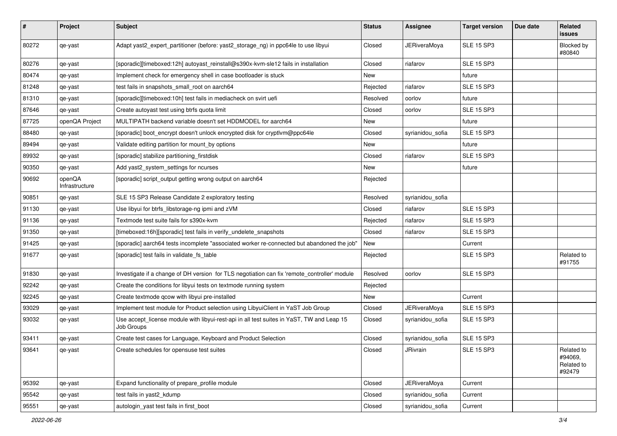| #     | Project                  | Subject                                                                                                 | <b>Status</b> | <b>Assignee</b>     | <b>Target version</b> | Due date | Related<br>issues                             |
|-------|--------------------------|---------------------------------------------------------------------------------------------------------|---------------|---------------------|-----------------------|----------|-----------------------------------------------|
| 80272 | qe-yast                  | Adapt yast2_expert_partitioner (before: yast2_storage_ng) in ppc64le to use libyui                      | Closed        | <b>JERiveraMoya</b> | <b>SLE 15 SP3</b>     |          | Blocked by<br>#80840                          |
| 80276 | qe-yast                  | [sporadic][timeboxed:12h] autoyast_reinstall@s390x-kvm-sle12 fails in installation                      | Closed        | riafarov            | <b>SLE 15 SP3</b>     |          |                                               |
| 80474 | qe-yast                  | Implement check for emergency shell in case bootloader is stuck                                         | <b>New</b>    |                     | future                |          |                                               |
| 81248 | qe-yast                  | test fails in snapshots_small_root on aarch64                                                           | Rejected      | riafarov            | <b>SLE 15 SP3</b>     |          |                                               |
| 81310 | qe-yast                  | [sporadic][timeboxed:10h] test fails in mediacheck on svirt uefi                                        | Resolved      | oorlov              | future                |          |                                               |
| 87646 | qe-yast                  | Create autoyast test using btrfs quota limit                                                            | Closed        | oorlov              | <b>SLE 15 SP3</b>     |          |                                               |
| 87725 | openQA Project           | MULTIPATH backend variable doesn't set HDDMODEL for aarch64                                             | New           |                     | future                |          |                                               |
| 88480 | qe-yast                  | [sporadic] boot_encrypt doesn't unlock encrypted disk for cryptlvm@ppc64le                              | Closed        | syrianidou_sofia    | <b>SLE 15 SP3</b>     |          |                                               |
| 89494 | qe-yast                  | Validate editing partition for mount_by options                                                         | New           |                     | future                |          |                                               |
| 89932 | qe-yast                  | [sporadic] stabilize partitioning_firstdisk                                                             | Closed        | riafarov            | <b>SLE 15 SP3</b>     |          |                                               |
| 90350 | qe-yast                  | Add yast2_system_settings for ncurses                                                                   | New           |                     | future                |          |                                               |
| 90692 | openQA<br>Infrastructure | [sporadic] script_output getting wrong output on aarch64                                                | Rejected      |                     |                       |          |                                               |
| 90851 | qe-yast                  | SLE 15 SP3 Release Candidate 2 exploratory testing                                                      | Resolved      | syrianidou_sofia    |                       |          |                                               |
| 91130 | qe-yast                  | Use libyui for btrfs_libstorage-ng ipmi and zVM                                                         | Closed        | riafarov            | <b>SLE 15 SP3</b>     |          |                                               |
| 91136 | qe-yast                  | Textmode test suite fails for s390x-kvm                                                                 | Rejected      | riafarov            | <b>SLE 15 SP3</b>     |          |                                               |
| 91350 | qe-yast                  | [timeboxed:16h][sporadic] test fails in verify_undelete_snapshots                                       | Closed        | riafarov            | <b>SLE 15 SP3</b>     |          |                                               |
| 91425 | qe-yast                  | [sporadic] aarch64 tests incomplete "associated worker re-connected but abandoned the job"              | New           |                     | Current               |          |                                               |
| 91677 | qe-yast                  | [sporadic] test fails in validate_fs_table                                                              | Rejected      |                     | <b>SLE 15 SP3</b>     |          | Related to<br>#91755                          |
| 91830 | qe-yast                  | Investigate if a change of DH version for TLS negotiation can fix 'remote_controller' module            | Resolved      | oorlov              | <b>SLE 15 SP3</b>     |          |                                               |
| 92242 | qe-yast                  | Create the conditions for libyui tests on textmode running system                                       | Rejected      |                     |                       |          |                                               |
| 92245 | qe-yast                  | Create textmode qcow with libyui pre-installed                                                          | New           |                     | Current               |          |                                               |
| 93029 | qe-yast                  | Implement test module for Product selection using LibyuiClient in YaST Job Group                        | Closed        | <b>JERiveraMoya</b> | <b>SLE 15 SP3</b>     |          |                                               |
| 93032 | qe-yast                  | Use accept_license module with libyui-rest-api in all test suites in YaST, TW and Leap 15<br>Job Groups | Closed        | syrianidou_sofia    | <b>SLE 15 SP3</b>     |          |                                               |
| 93411 | qe-yast                  | Create test cases for Language, Keyboard and Product Selection                                          | Closed        | syrianidou_sofia    | <b>SLE 15 SP3</b>     |          |                                               |
| 93641 | qe-yast                  | Create schedules for opensuse test suites                                                               | Closed        | JRivrain            | <b>SLE 15 SP3</b>     |          | Related to<br>#94069,<br>Related to<br>#92479 |
| 95392 | qe-yast                  | Expand functionality of prepare_profile module                                                          | Closed        | <b>JERiveraMoya</b> | Current               |          |                                               |
| 95542 | qe-yast                  | test fails in yast2_kdump                                                                               | Closed        | syrianidou_sofia    | Current               |          |                                               |
| 95551 | qe-yast                  | autologin_yast test fails in first_boot                                                                 | Closed        | syrianidou_sofia    | Current               |          |                                               |